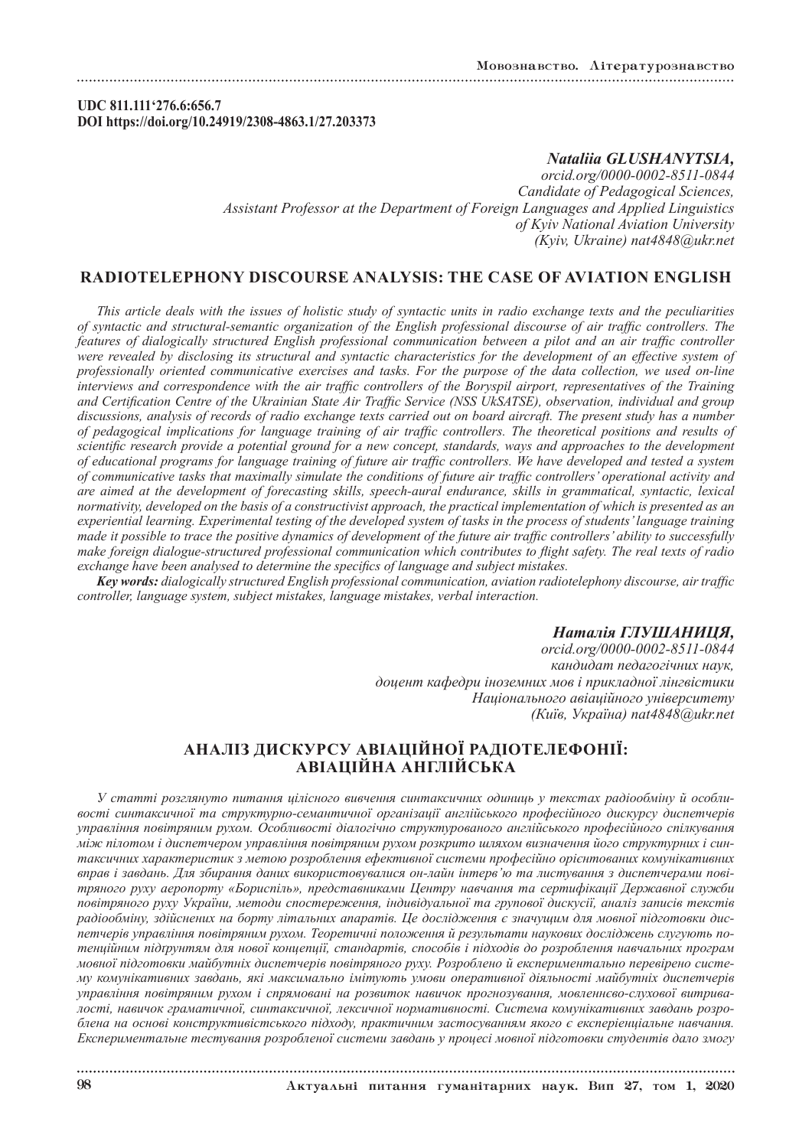**UDC 811.111'276.6:656.7 DOI https://doi.org/10.24919/2308-4863.1/27.203373**

## *Nataliia GLUSHANYTSIA,*

*orcid.org/0000-0002-8511-0844 Candidate of Pedagogical Sciences, Assistant Professor at the Department of Foreign Languages and Applied Linguistics of Kyiv National Aviation University (Kyiv, Ukraine) nat4848@ukr.net*

## **RADIOTELEPHONY DISCOURSE ANALYSIS: THE CASE OF AVIATION ENGLISH**

*This article deals with the issues of holistic study of syntactic units in radio exchange texts and the peculiarities of syntactic and structural-semantic organization of the English professional discourse of air traffic controllers. The features of dialogically structured English professional communication between a pilot and an air traffic controller were revealed by disclosing its structural and syntactic characteristics for the development of an effective system of professionally oriented communicative exercises and tasks. For the purpose of the data collection, we used on-line interviews and correspondence with the air traffic controllers of the Boryspil airport, representatives of the Training and Certification Centre of the Ukrainian State Air Traffic Service (NSS UkSATSE), observation, individual and group discussions, analysis of records of radio exchange texts carried out on board aircraft. The present study has a number of pedagogical implications for language training of air traffic controllers. The theoretical positions and results of scientific research provide a potential ground for a new concept, standards, ways and approaches to the development of educational programs for language training of future air traffic controllers. We have developed and tested a system of communicative tasks that maximally simulate the conditions of future air traffic controllers' operational activity and are aimed at the development of forecasting skills, speech-aural endurance, skills in grammatical, syntactic, lexical normativity, developed on the basis of a constructivist approach, the practical implementation of which is presented as an experiential learning. Experimental testing of the developed system of tasks in the process of students' language training made it possible to trace the positive dynamics of development of the future air traffic controllers' ability to successfully make foreign dialogue-structured professional communication which contributes to flight safety. The real texts of radio exchange have been analysed to determine the specifics of language and subject mistakes.*

*Key words: dialogically structured English professional communication, aviation radiotelephony discourse, air traffic controller, language system, subject mistakes, language mistakes, verbal interaction.*

## *Наталія ГЛУШАНИЦЯ,*

*orcid.org/0000-0002-8511-0844 кандидат педагогічних наук, доцент кафедри іноземних мов і прикладної лінгвістики Національного авіаційного університету (Київ, Україна) nat4848@ukr.net*

# **АНАЛІЗ ДИСКУРСУ АВІАЦІЙНОЇ РАДІОТЕЛЕФОНІЇ: АВІАЦІЙНА АНГЛІЙСЬКА**

*У статті розглянуто питання цілісного вивчення синтаксичних одиниць у текстах радіообміну й особливості синтаксичної та структурно-семантичної організації англійського професійного дискурсу диспетчерів управління повітряним рухом. Особливості діалогічно структурованого англійського професійного спілкування між пілотом і диспетчером управління повітряним рухом розкрито шляхом визначення його структурних і синтаксичних характеристик з метою розроблення ефективної системи професійно орієнтованих комунікативних вправ і завдань. Для збирання даних використовувалися он-лайн інтерв'ю та листування з диспетчерами повітряного руху аеропорту «Бориспіль», представниками Центру навчання та сертифікації Державної служби повітряного руху України, методи спостереження, індивідуальної та групової дискусії, аналіз записів текстів радіообміну, здійснених на борту літальних апаратів. Це дослідження є значущим для мовної підготовки диспетчерів управління повітряним рухом. Теоретичні положення й результати наукових досліджень слугують потенційним підґрунтям для нової концепції, стандартів, способів і підходів до розроблення навчальних програм мовної підготовки майбутніх диспетчерів повітряного руху. Розроблено й експериментально перевірено систему комунікативних завдань, які максимально імітують умови оперативної діяльності майбутніх диспетчерів управління повітряним рухом і спрямовані на розвиток навичок прогнозування, мовленнєво-слухової витривалості, навичок граматичної, синтаксичної, лексичної нормативності. Система комунікативних завдань розроблена на основі конструктивістського підходу, практичним застосуванням якого є експеріенціальне навчання. Експериментальне тестування розробленої системи завдань у процесі мовної підготовки студентів дало змогу*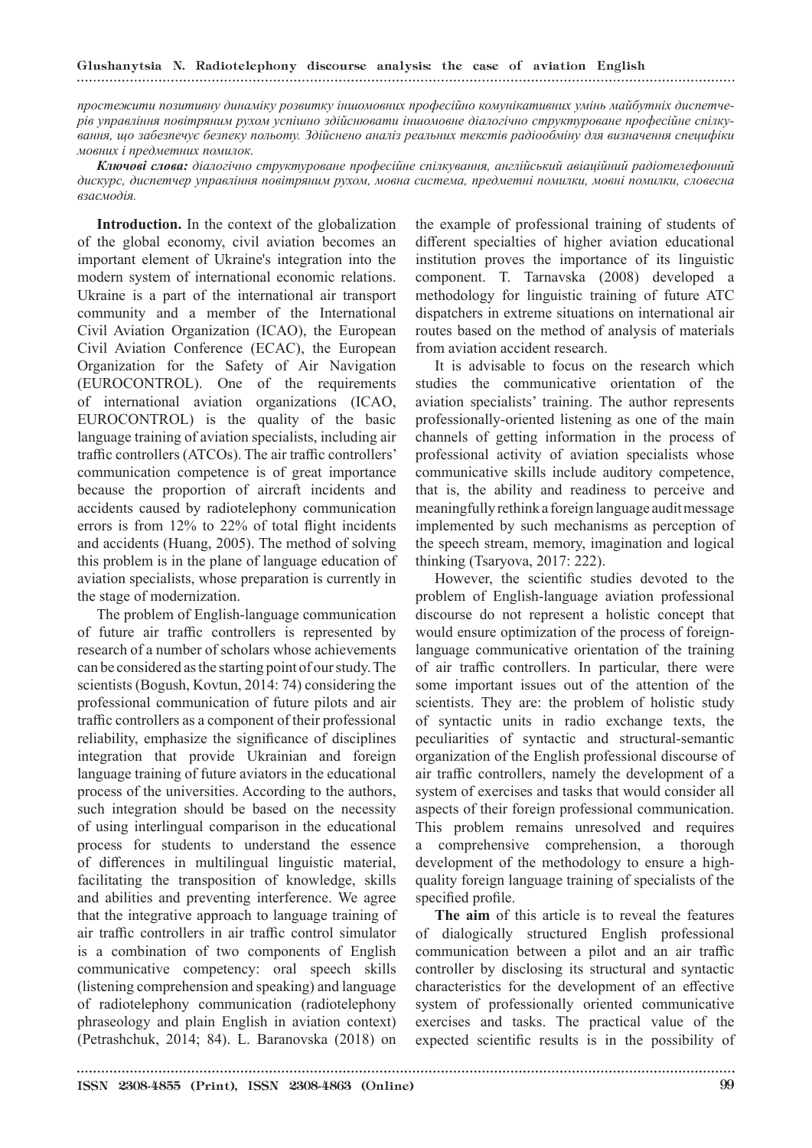## Glushanytsia N. Radiotelephony discourse analysis: the case of aviation English

*простежити позитивну динаміку розвитку іншомовних професійно комунікативних умінь майбутніх диспетчерів управління повітряним рухом успішно здійснювати іншомовне діалогічно структуроване професійне спілкування, що забезпечує безпеку польоту. Здійснено аналіз реальних текстів радіообміну для визначення специфіки мовних і предметних помилок.*

*Ключові слова: діалогічно структуроване професійне спілкування, англійський авіаційний радіотелефонний дискурс, диспетчер управління повітряним рухом, мовна система, предметні помилки, мовні помилки, словесна взаємодія.*

**Introduction.** In the context of the globalization of the global economy, civil aviation becomes an important element of Ukraine's integration into the modern system of international economic relations. Ukraine is a part of the international air transport community and a member of the International Civil Aviation Organization (ICAO), the European Civil Aviation Conference (ECAC), the European Organization for the Safety of Air Navigation (EUROCONTROL). One of the requirements of international aviation organizations (ICAO, EUROCONTROL) is the quality of the basic language training of aviation specialists, including air traffic controllers (ATCOs). The air traffic controllers' communication competence is of great importance because the proportion of aircraft incidents and accidents caused by radiotelephony communication errors is from 12% to 22% of total flight incidents and accidents (Huang, 2005). The method of solving this problem is in the plane of language education of aviation specialists, whose preparation is currently in the stage of modernization.

The problem of English-language communication of future air traffic controllers is represented by research of a number of scholars whose achievements can be considered as the starting point of our study. The scientists (Bogush, Kovtun, 2014: 74) considering the professional communication of future pilots and air traffic controllers as a component of their professional reliability, emphasize the significance of disciplines integration that provide Ukrainian and foreign language training of future aviators in the educational process of the universities. According to the authors, such integration should be based on the necessity of using interlingual comparison in the educational process for students to understand the essence of differences in multilingual linguistic material, facilitating the transposition of knowledge, skills and abilities and preventing interference. We agree that the integrative approach to language training of air traffic controllers in air traffic control simulator is a combination of two components of English communicative competency: oral speech skills (listening comprehension and speaking) and language of radiotelephony communication (radiotelephony phraseology and plain English in aviation context) (Petrashchuk, 2014; 84). L. Baranovska (2018) on

the example of professional training of students of different specialties of higher aviation educational institution proves the importance of its linguistic component. T. Tarnavska (2008) developed a methodology for linguistic training of future ATC dispatchers in extreme situations on international air routes based on the method of analysis of materials from aviation accident research.

It is advisable to focus on the research which studies the communicative orientation of the aviation specialists' training. The author represents professionally-oriented listening as one of the main channels of getting information in the process of professional activity of aviation specialists whose communicative skills include auditory competence, that is, the ability and readiness to perceive and meaningfully rethink a foreign language audit message implemented by such mechanisms as perception of the speech stream, memory, imagination and logical thinking (Tsaryova, 2017: 222).

However, the scientific studies devoted to the problem of English-language aviation professional discourse do not represent a holistic concept that would ensure optimization of the process of foreignlanguage communicative orientation of the training of air traffic controllers. In particular, there were some important issues out of the attention of the scientists. They are: the problem of holistic study of syntactic units in radio exchange texts, the peculiarities of syntactic and structural-semantic organization of the English professional discourse of air traffic controllers, namely the development of a system of exercises and tasks that would consider all aspects of their foreign professional communication. This problem remains unresolved and requires comprehensive comprehension, a thorough development of the methodology to ensure a highquality foreign language training of specialists of the specified profile.

**The aim** of this article is to reveal the features of dialogically structured English professional communication between a pilot and an air traffic controller by disclosing its structural and syntactic characteristics for the development of an effective system of professionally oriented communicative exercises and tasks. The practical value of the expected scientific results is in the possibility of

ISSN 2308-4855 (Print), ISSN 2308-4863 (Online) 99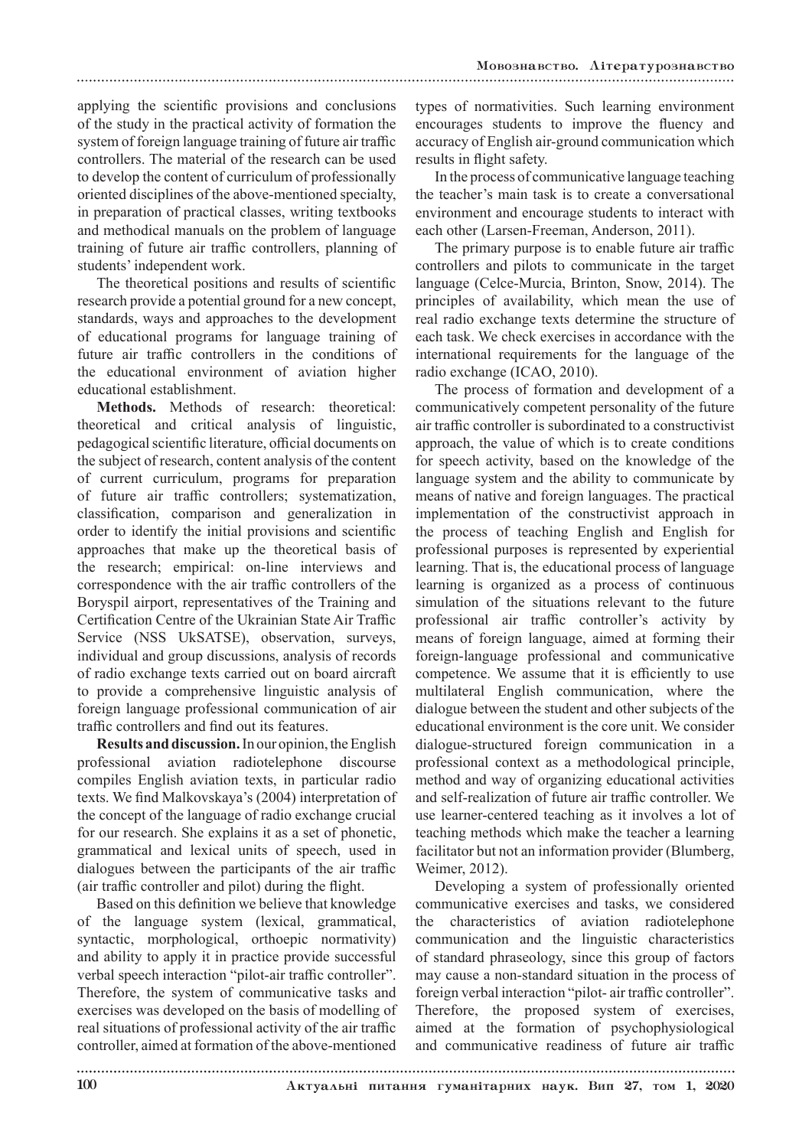applying the scientific provisions and conclusions of the study in the practical activity of formation the system of foreign language training of future air traffic controllers. The material of the research can be used to develop the content of curriculum of professionally oriented disciplines of the above-mentioned specialty, in preparation of practical classes, writing textbooks and methodical manuals on the problem of language training of future air traffic controllers, planning of students' independent work.

The theoretical positions and results of scientific research provide a potential ground for a new concept, standards, ways and approaches to the development of educational programs for language training of future air traffic controllers in the conditions of the educational environment of aviation higher educational establishment.

**Methods.** Methods of research: theoretical: theoretical and critical analysis of linguistic, pedagogical scientific literature, official documents on the subject of research, content analysis of the content of current curriculum, programs for preparation of future air traffic controllers; systematization, classification, comparison and generalization in order to identify the initial provisions and scientific approaches that make up the theoretical basis of the research; empirical: on-line interviews and correspondence with the air traffic controllers of the Boryspil airport, representatives of the Training and Certification Centre of the Ukrainian State Air Traffic Service (NSS UkSATSE), observation, surveys, individual and group discussions, analysis of records of radio exchange texts carried out on board aircraft to provide a comprehensive linguistic analysis of foreign language professional communication of air traffic controllers and find out its features.

**Results and discussion.** In our opinion, the English professional aviation radiotelephone discourse compiles English aviation texts, in particular radio texts. We find Malkovskaya's (2004) interpretation of the concept of the language of radio exchange crucial for our research. She explains it as a set of phonetic, grammatical and lexical units of speech, used in dialogues between the participants of the air traffic (air traffic controller and pilot) during the flight.

Based on this definition we believe that knowledge of the language system (lexical, grammatical, syntactic, morphological, orthoepic normativity) and ability to apply it in practice provide successful verbal speech interaction "pilot-air traffic controller". Therefore, the system of communicative tasks and exercises was developed on the basis of modelling of real situations of professional activity of the air traffic controller, aimed at formation of the above-mentioned

types of normativities. Such learning environment encourages students to improve the fluency and accuracy of English air-ground communication which results in flight safety.

In the process of communicative language teaching the teacher's main task is to create a conversational environment and encourage students to interact with each other (Larsen-Freeman, Anderson, 2011).

The primary purpose is to enable future air traffic controllers and pilots to communicate in the target language (Celce-Murcia, Brinton, Snow, 2014). The principles of availability, which mean the use of real radio exchange texts determine the structure of each task. We check exercises in accordance with the international requirements for the language of the radio exchange (ICAO, 2010).

The process of formation and development of a communicatively competent personality of the future air traffic controller is subordinated to a constructivist approach, the value of which is to create conditions for speech activity, based on the knowledge of the language system and the ability to communicate by means of native and foreign languages. The practical implementation of the constructivist approach in the process of teaching English and English for professional purposes is represented by experiential learning. That is, the educational process of language learning is organized as a process of continuous simulation of the situations relevant to the future professional air traffic controller's activity by means of foreign language, aimed at forming their foreign-language professional and communicative competence. We assume that it is efficiently to use multilateral English communication, where the dialogue between the student and other subjects of the educational environment is the core unit. We consider dialogue-structured foreign communication in a professional context as a methodological principle, method and way of organizing educational activities and self-realization of future air traffic controller. We use learner-centered teaching as it involves a lot of teaching methods which make the teacher a learning facilitator but not an information provider (Blumberg, Weimer, 2012).

Developing a system of professionally oriented communicative exercises and tasks, we considered the characteristics of aviation radiotelephone communication and the linguistic characteristics of standard phraseology, since this group of factors may cause a non-standard situation in the process of foreign verbal interaction "pilot- air traffic controller". Therefore, the proposed system of exercises, aimed at the formation of psychophysiological and communicative readiness of future air traffic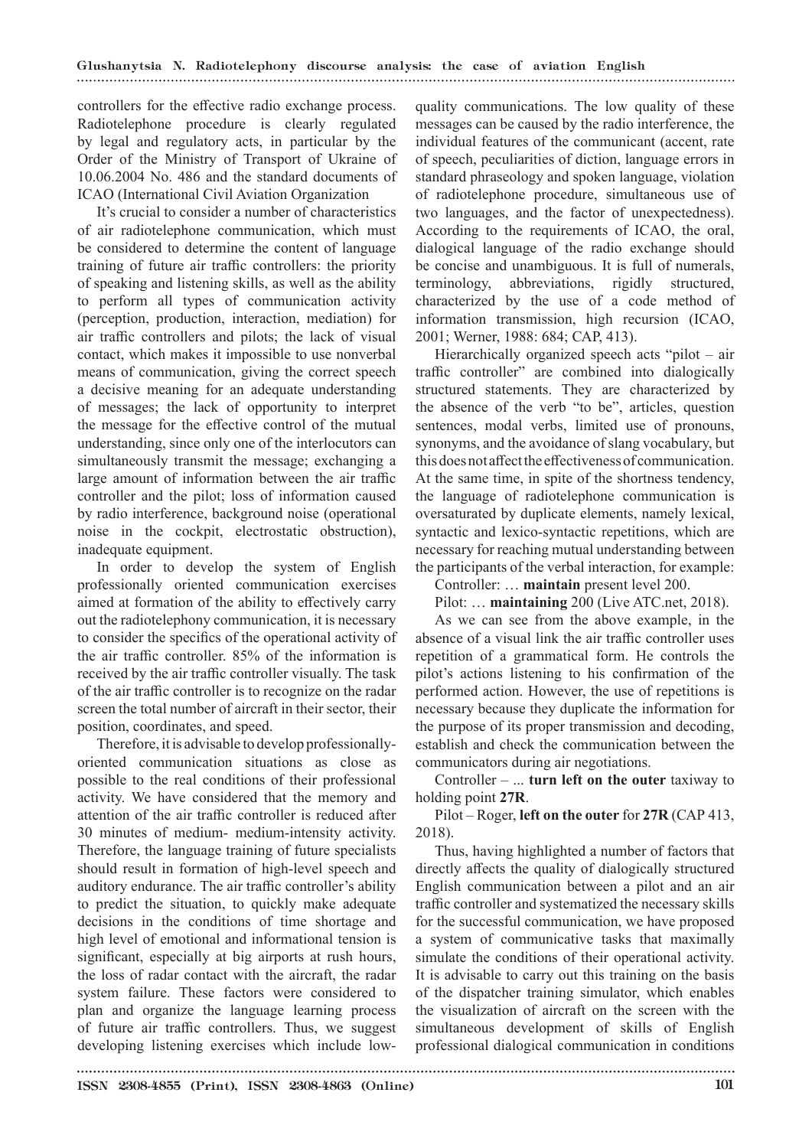controllers for the effective radio exchange process. Radiotelephone procedure is clearly regulated by legal and regulatory acts, in particular by the Order of the Ministry of Transport of Ukraine of 10.06.2004 No. 486 and the standard documents of ICAO (International Civil Aviation Organization

It's crucial to consider a number of characteristics of air radiotelephone communication, which must be considered to determine the content of language training of future air traffic controllers: the priority of speaking and listening skills, as well as the ability to perform all types of communication activity (perception, production, interaction, mediation) for air traffic controllers and pilots; the lack of visual contact, which makes it impossible to use nonverbal means of communication, giving the correct speech a decisive meaning for an adequate understanding of messages; the lack of opportunity to interpret the message for the effective control of the mutual understanding, since only one of the interlocutors can simultaneously transmit the message; exchanging a large amount of information between the air traffic controller and the pilot; loss of information caused by radio interference, background noise (operational noise in the cockpit, electrostatic obstruction), inadequate equipment.

In order to develop the system of English professionally oriented communication exercises aimed at formation of the ability to effectively carry out the radiotelephony communication, it is necessary to consider the specifics of the operational activity of the air traffic controller. 85% of the information is received by the air traffic controller visually. The task of the air traffic controller is to recognize on the radar screen the total number of aircraft in their sector, their position, coordinates, and speed.

Therefore, it is advisable to develop professionallyoriented communication situations as close as possible to the real conditions of their professional activity. We have considered that the memory and attention of the air traffic controller is reduced after 30 minutes of medium- medium-intensity activity. Therefore, the language training of future specialists should result in formation of high-level speech and auditory endurance. The air traffic controller's ability to predict the situation, to quickly make adequate decisions in the conditions of time shortage and high level of emotional and informational tension is significant, especially at big airports at rush hours, the loss of radar contact with the aircraft, the radar system failure. These factors were considered to plan and organize the language learning process of future air traffic controllers. Thus, we suggest developing listening exercises which include low-

quality communications. The low quality of these messages can be caused by the radio interference, the individual features of the communicant (accent, rate of speech, peculiarities of diction, language errors in standard phraseology and spoken language, violation of radiotelephone procedure, simultaneous use of two languages, and the factor of unexpectedness). According to the requirements of ICAO, the oral, dialogical language of the radio exchange should be concise and unambiguous. It is full of numerals, terminology, abbreviations, rigidly structured, characterized by the use of a code method of information transmission, high recursion (ICAO, 2001; Werner, 1988: 684; САР, 413).

Hierarchically organized speech acts "pilot – air traffic controller" are combined into dialogically structured statements. They are characterized by the absence of the verb "to be", articles, question sentences, modal verbs, limited use of pronouns, synonyms, and the avoidance of slang vocabulary, but this does not affect the effectiveness of communication. At the same time, in spite of the shortness tendency, the language of radiotelephone communication is oversaturated by duplicate elements, namely lexical, syntactic and lexico-syntactic repetitions, which are necessary for reaching mutual understanding between the participants of the verbal interaction, for example:

Controller: … **maintain** present level 200.

Pilot: … **maintaining** 200 (Live ATC.net, 2018).

As we can see from the above example, in the absence of a visual link the air traffic controller uses repetition of a grammatical form. He controls the pilot's actions listening to his confirmation of the performed action. However, the use of repetitions is necessary because they duplicate the information for the purpose of its proper transmission and decoding, establish and check the communication between the communicators during air negotiations.

Сontroller – ... **turn left on the outer** taxiway to holding point **27R**.

Pilot – Roger, **left on the outer** for **27R** (САР 413, 2018).

Thus, having highlighted a number of factors that directly affects the quality of dialogically structured English communication between a pilot and an air traffic controller and systematized the necessary skills for the successful communication, we have proposed a system of communicative tasks that maximally simulate the conditions of their operational activity. It is advisable to carry out this training on the basis of the dispatcher training simulator, which enables the visualization of aircraft on the screen with the simultaneous development of skills of English professional dialogical communication in conditions

ISSN 2308-4855 (Print), ISSN 2308-4863 (Online) 101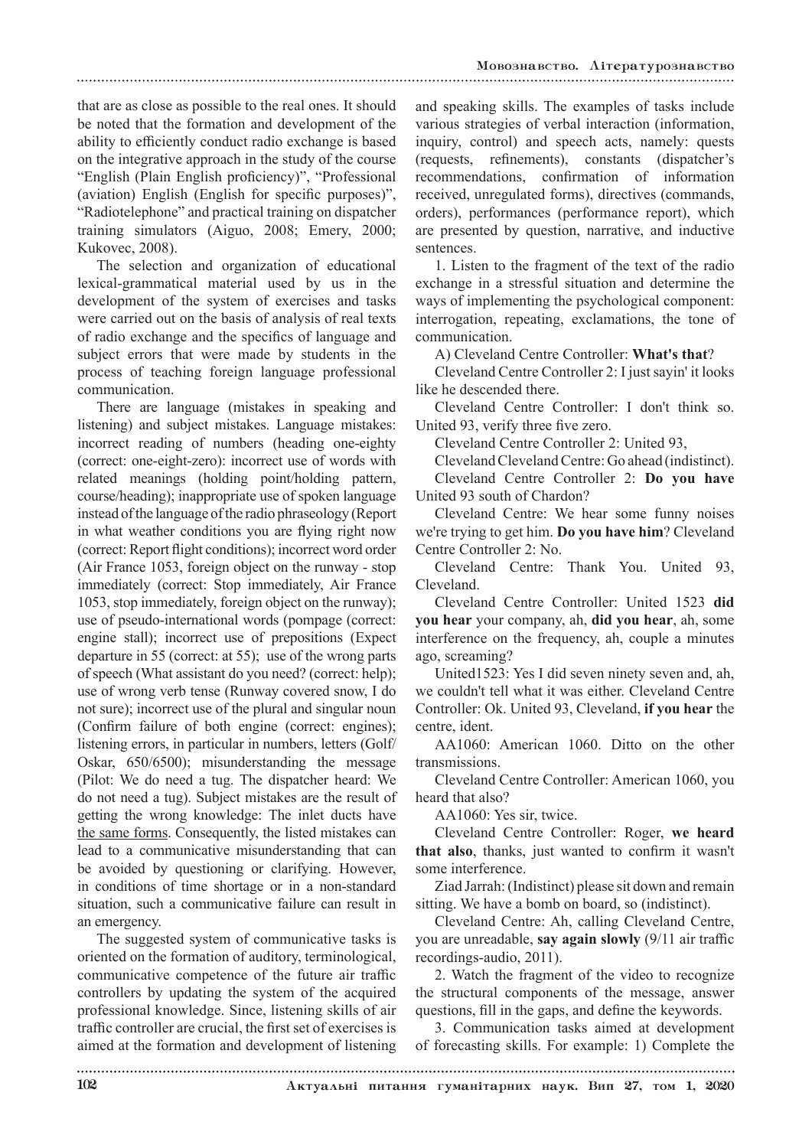that are as close as possible to the real ones. It should be noted that the formation and development of the ability to efficiently conduct radio exchange is based on the integrative approach in the study of the course "English (Plain English proficiency)", "Professional (aviation) English (English for specific purposes)", "Radiotelephone" and practical training on dispatcher training simulators (Aiguo, 2008; Emery, 2000; Kukovec, 2008).

The selection and organization of educational lexical-grammatical material used by us in the development of the system of exercises and tasks were carried out on the basis of analysis of real texts of radio exchange and the specifics of language and subject errors that were made by students in the process of teaching foreign language professional communication.

There are language (mistakes in speaking and listening) and subject mistakes. Language mistakes: incorrect reading of numbers (heading one-eighty (correct: one-eight-zero): incorrect use of words with related meanings (holding point/holding pattern, course/heading); inappropriate use of spoken language instead of the language of the radio phraseology (Report in what weather conditions you are flying right now (correct: Report flight conditions); incorrect word order (Air France 1053, foreign object on the runway - stop immediately (correct: Stop immediately, Air France 1053, stop immediately, foreign object on the runway); use of pseudo-international words (pompage (correct: engine stall); incorrect use of prepositions (Expect departure in 55 (correct: at 55); use of the wrong parts of speech (What assistant do you need? (correct: help); use of wrong verb tense (Runway covered snow, I do not sure); incorrect use of the plural and singular noun (Confirm failure of both engine (correct: engines); listening errors, in particular in numbers, letters (Golf/ Oskar, 650/6500); misunderstanding the message (Pilot: We do need a tug. The dispatcher heard: We do not need a tug). Subject mistakes are the result of getting the wrong knowledge: The inlet ducts have the same forms. Consequently, the listed mistakes can lead to a communicative misunderstanding that can be avoided by questioning or clarifying. However, in conditions of time shortage or in a non-standard situation, such a communicative failure can result in an emergency.

The suggested system of communicative tasks is oriented on the formation of auditory, terminological, communicative competence of the future air traffic controllers by updating the system of the acquired professional knowledge. Since, listening skills of air traffic controller are crucial, the first set of exercises is aimed at the formation and development of listening

and speaking skills. The examples of tasks include various strategies of verbal interaction (information, inquiry, control) and speech acts, namely: quests (requests, refinements), constants (dispatcher's recommendations, confirmation of information received, unregulated forms), directives (commands, orders), performances (performance report), which are presented by question, narrative, and inductive sentences.

1. Listen to the fragment of the text of the radio exchange in a stressful situation and determine the ways of implementing the psychological component: interrogation, repeating, exclamations, the tone of communication.

A) Cleveland Centre Controller: **What's that**?

Cleveland Centre Controller 2: I just sayin' it looks like he descended there.

Cleveland Centre Controller: I don't think so. United 93, verify three five zero.

Cleveland Centre Controller 2: United 93,

Cleveland Cleveland Centre: Go ahead (indistinct).

Cleveland Centre Controller 2: **Do you have** United 93 south of Chardon?

Cleveland Centre: We hear some funny noises we're trying to get him. **Do you have him**? Cleveland Centre Controller 2: No.

Cleveland Centre: Thank You. United 93, Cleveland.

Cleveland Centre Controller: United 1523 **did you hear** your company, ah, **did you hear**, ah, some interference on the frequency, ah, couple a minutes ago, screaming?

United1523: Yes I did seven ninety seven and, ah, we couldn't tell what it was either. Cleveland Centre Controller: Ok. United 93, Cleveland, **if you hear** the centre, ident.

AA1060: American 1060. Ditto on the other transmissions.

Cleveland Centre Controller: American 1060, you heard that also?

AA1060: Yes sir, twice.

Cleveland Centre Controller: Roger, **we heard that also**, thanks, just wanted to confirm it wasn't some interference.

Ziad Jarrah: (Indistinct) please sit down and remain sitting. We have a bomb on board, so (indistinct).

Cleveland Centre: Ah, calling Cleveland Centre, you are unreadable, **say again slowly** (9/11 air traffic recordings-audio, 2011).

2. Watch the fragment of the video to recognize the structural components of the message, answer questions, fill in the gaps, and define the keywords.

3. Communication tasks aimed at development of forecasting skills. For example: 1) Complete the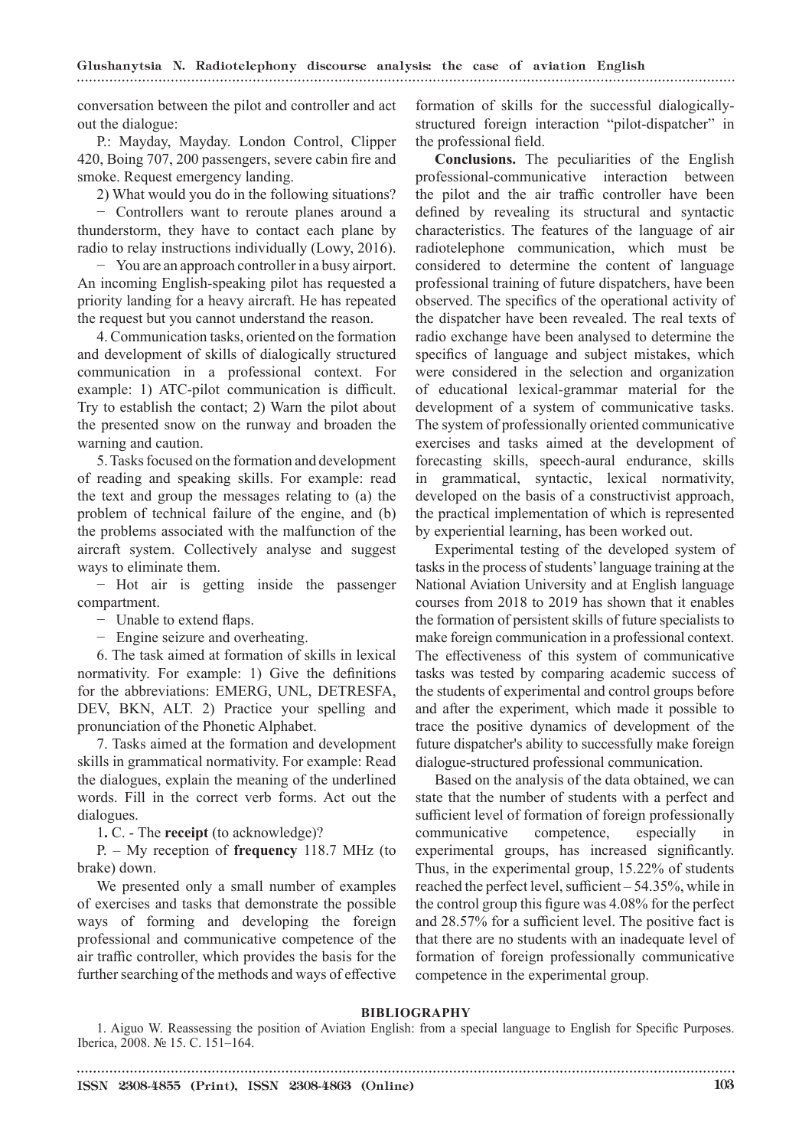conversation between the pilot and controller and act out the dialogue:

P.: Mayday, Mayday. London Control, Clipper 420, Boing 707, 200 passengers, severe cabin fire and smoke. Request emergency landing.

2) What would you do in the following situations?

− Controllers want to reroute planes around a thunderstorm, they have to contact each plane by radio to relay instructions individually (Lowy, 2016).

− You are an approach controller in a busy airport. An incoming English-speaking pilot has requested a priority landing for a heavy aircraft. He has repeated the request but you cannot understand the reason.

4. Communication tasks, oriented on the formation and development of skills of dialogically structured communication in a professional context. For example: 1) ATC-pilot communication is difficult. Try to establish the contact; 2) Warn the pilot about the presented snow on the runway and broaden the warning and caution.

5. Tasks focused on the formation and development of reading and speaking skills. For example: read the text and group the messages relating to (a) the problem of technical failure of the engine, and (b) the problems associated with the malfunction of the aircraft system. Collectively analyse and suggest ways to eliminate them.

− Hot air is getting inside the passenger compartment.

− Unable to extend flaps.

− Engine seizure and overheating.

6. The task aimed at formation of skills in lexical normativity. For example: 1) Give the definitions for the abbreviations: EMERG, UNL, DETRESFA, DEV, BKN, ALT. 2) Practice your spelling and pronunciation of the Phonetic Alphabet.

7. Tasks aimed at the formation and development skills in grammatical normativity. For example: Read the dialogues, explain the meaning of the underlined words. Fill in the correct verb forms. Act out the dialogues.

1**.** C. - The **receipt** (to acknowledge)?

P. – My reception of **frequency** 118.7 MHz (to brake) down.

We presented only a small number of examples of exercises and tasks that demonstrate the possible ways of forming and developing the foreign professional and communicative competence of the air traffic controller, which provides the basis for the further searching of the methods and ways of effective formation of skills for the successful dialogicallystructured foreign interaction "pilot-dispatcher" in the professional field.

**Conclusions.** The peculiarities of the English professional-communicative interaction between the pilot and the air traffic controller have been defined by revealing its structural and syntactic characteristics. The features of the language of air radiotelephone communication, which must be considered to determine the content of language professional training of future dispatchers, have been observed. The specifics of the operational activity of the dispatcher have been revealed. The real texts of radio exchange have been analysed to determine the specifics of language and subject mistakes, which were considered in the selection and organization of educational lexical-grammar material for the development of a system of communicative tasks. The system of professionally oriented communicative exercises and tasks aimed at the development of forecasting skills, speech-aural endurance, skills in grammatical, syntactic, lexical normativity, developed on the basis of a constructivist approach, the practical implementation of which is represented by experiential learning, has been worked out.

Experimental testing of the developed system of tasks in the process of students' language training at the National Aviation University and at English language courses from 2018 to 2019 has shown that it enables the formation of persistent skills of future specialists to make foreign communication in a professional context. The effectiveness of this system of communicative tasks was tested by comparing academic success of the students of experimental and control groups before and after the experiment, which made it possible to trace the positive dynamics of development of the future dispatcher's ability to successfully make foreign dialogue-structured professional communication.

Based on the analysis of the data obtained, we can state that the number of students with a perfect and sufficient level of formation of foreign professionally communicative competence, especially in experimental groups, has increased significantly. Thus, in the experimental group, 15.22% of students reached the perfect level, sufficient – 54.35%, while in the control group this figure was 4.08% for the perfect and 28.57% for a sufficient level. The positive fact is that there are no students with an inadequate level of formation of foreign professionally communicative competence in the experimental group.

## **BIBLIOGRAPHY**

1. Aiguo W. Reassessing the position of Aviation English: from a special language to English for Specific Purposes. Iberica, 2008. № 15. С. 151–164.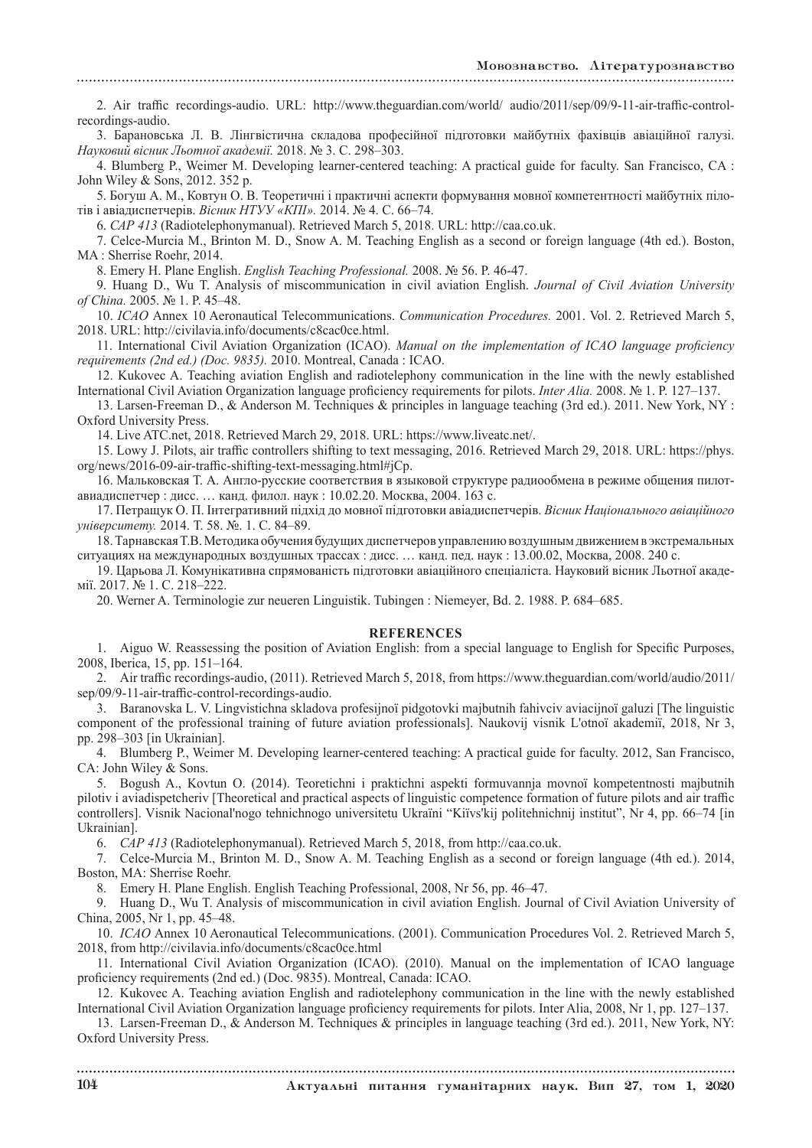2. Air traffic recordings-audio. URL: http://www.theguardian.com/world/ audio/2011/sep/09/9-11-air-traffic-controlrecordings-audio.

3. Барановська Л. В. Лінгвістична складова професійної підготовки майбутніх фахівців авіаційної галузі. *Науковий вісник Льотної академії.* 2018. № 3. С. 298–303.

4. Blumberg P., Weimer M. Developing learner-centered teaching: A practical guide for faculty. San Francisco, CA : John Wiley & Sons, 2012. 352 p.

5. Богуш А. М., Ковтун О. В. Теоретичні i практичні аспекти формування мовної компетентності майбутніх пілотів i авіадиспетчерів. *Вісник НТУУ «КПІ».* 2014. № 4. С. 66–74.

6. *САР 413* (Radiotelephonymanual). Retrieved March 5, 2018. URL: http://caa.co.uk.

7. Celce-Murcia M., Brinton M. D., Snow A. M. Teaching English as a second or foreign language (4th ed.). Boston, MA : Sherrise Roehr, 2014.

8. Emery H. Plane English. *English Teaching Professional.* 2008. № 56. P. 46-47.

9. Huang D., Wu T. Analysis of miscommunication in civil aviation English. *Journal of Civil Aviation University of China.* 2005. № 1. P. 45–48.

10. *ICAO* Annex 10 Aeronautical Telecommunications. *Communication Procedures.* 2001. Vol. 2. Retrieved March 5, 2018. URL: http://civilavia.info/documents/c8cac0ce.html.

11. International Civil Aviation Organization (ICAO). *Manual on the implementation of ICAO language proficiency requirements (2nd ed.) (Doc. 9835).* 2010. Montreal, Canada : ICAO.

12. Kukovec A. Teaching aviation English and radiotelephony communication in the line with the newly established International Civil Aviation Organization language proficiency requirements for pilots. *Inter Alia.* 2008. № 1. P. 127–137.

13. Larsen-Freeman D., & Anderson M. Techniques & principles in language teaching (3rd ed.). 2011. New York, NY : Oxford University Press.

14. Live ATC.net, 2018. Retrieved March 29, 2018. URL: https://www.liveatc.net/.

15. Lowy J. Pilots, air traffic controllers shifting to text messaging, 2016. Retrieved March 29, 2018. URL: https://phys. org/news/2016-09-air-traffic-shifting-text-messaging.html#jCp.

16. Мальковская Т. А. Англо-русские соответствия в языковой структуре радиообмена в режиме общения пилотавиадиспетчер : дисс. … канд. филол. наук : 10.02.20. Москва, 2004. 163 с.

17. Петращук О. П. Інтегративний підхід до мовної підготовки авіадиспетчерів. *Вісник Національного авіаційного університету.* 2014. Т. 58. №. 1. С. 84–89.

18. Тарнавская Т.В. Методика обучения будущих диспетчеров управлению воздушным движением в экстремальных ситуациях на международных воздушных трассах : дисс. … канд. пед. наук : 13.00.02, Москва, 2008. 240 с.

19. Царьова Л. Комунікативна спрямованість підготовки авіаційного спеціаліста. Науковий вісник Льотної академії. 2017. № 1. С. 218–222.

20. Werner A. Terminologie zur neueren Linguistik. Tubingen : Niemeyer, Bd. 2. 1988. P. 684–685.

### **REFERENCES**

1. Aiguo W. Reassessing the position of Aviation English: from a special language to English for Specific Purposes, 2008, Iberica, 15, pp. 151–164.

2. Air traffic recordings-audio, (2011). Retrieved March 5, 2018, from https://www.theguardian.com/world/audio/2011/ sep/09/9-11-air-traffic-control-recordings-audio.

3. Baranovska L. V. Lіngvіstichna skladova profesіjnoї pіdgotovki majbutnіh fahіvcіv avіacіjnoї galuzі [The linguistic component of the professional training of future aviation professionals]. Naukovij vіsnik L'otnoї akademії, 2018, Nr 3, pp. 298–303 [in Ukrainian].

4. Blumberg P., Weimer M. Developing learner-centered teaching: A practical guide for faculty. 2012, San Francisco, CA: John Wiley & Sons.

5. Bogush A., Kovtun O. (2014). Teoretichnі i praktichnі aspekti formuvannja movnoї kompetentnostі majbutnіh pіlotіv i avіadispetcherіv [Theoretical and practical aspects of linguistic competence formation of future pilots and air traffic controllers]. Vіsnik Nacіonal'nogo tehnіchnogo unіversitetu Ukraїni "Kiїvs'kij polіtehnіchnij іnstitut", Nr 4, pp. 66–74 [in Ukrainian].

6. *САР 413* (Radiotelephonymanual). Retrieved March 5, 2018, from http://caa.co.uk.

7. Celce-Murcia M., Brinton M. D., Snow A. M. Teaching English as a second or foreign language (4th ed.). 2014, Boston, MA: Sherrise Roehr.

8. Emery H. Plane English. English Teaching Professional, 2008, Nr 56, pp. 46–47.

9. Huang D., Wu T. Analysis of miscommunication in civil aviation English. Journal of Civil Aviation University of China, 2005, Nr 1, pp. 45–48.

10. *ICAO* Annex 10 Aeronautical Telecommunications. (2001). Communication Procedures Vol. 2. Retrieved March 5, 2018, from http://civilavia.info/documents/c8cac0ce.html

11. International Civil Aviation Organization (ICAO). (2010). Manual on the implementation of ICAO language proficiency requirements (2nd ed.) (Doc. 9835). Montreal, Canada: ICAO.

12. Kukovec A. Teaching aviation English and radiotelephony communication in the line with the newly established International Civil Aviation Organization language proficiency requirements for pilots. Inter Alia, 2008, Nr 1, pp. 127–137.

13. Larsen-Freeman D., & Anderson M. Techniques & principles in language teaching (3rd ed.). 2011, New York, NY: Oxford University Press.